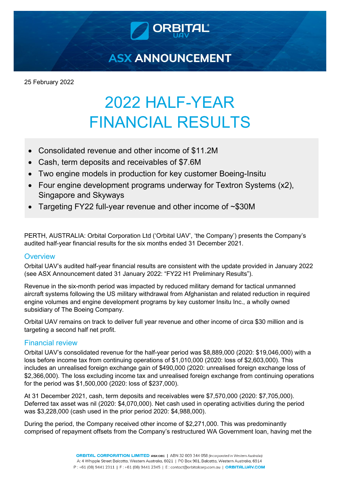

**ASX ANNOUNCEMENT** 

25 February 2022

# 2022 HALF-YEAR FINANCIAL RESULTS

- Consolidated revenue and other income of \$11.2M
- Cash, term deposits and receivables of \$7.6M
- Two engine models in production for key customer Boeing-Insitu
- Four engine development programs underway for Textron Systems (x2), Singapore and Skyways
- Targeting FY22 full-year revenue and other income of ~\$30M

PERTH, AUSTRALIA: Orbital Corporation Ltd ('Orbital UAV', 'the Company') presents the Company's audited half-year financial results for the six months ended 31 December 2021.

## **Overview**

Orbital UAV's audited half-year financial results are consistent with the update provided in January 2022 (see ASX Announcement dated 31 January 2022: "FY22 H1 Preliminary Results").

Revenue in the six-month period was impacted by reduced military demand for tactical unmanned aircraft systems following the US military withdrawal from Afghanistan and related reduction in required engine volumes and engine development programs by key customer Insitu Inc., a wholly owned subsidiary of The Boeing Company.

Orbital UAV remains on track to deliver full year revenue and other income of circa \$30 million and is targeting a second half net profit.

## Financial review

Orbital UAV's consolidated revenue for the half-year period was \$8,889,000 (2020: \$19,046,000) with a loss before income tax from continuing operations of \$1,010,000 (2020: loss of \$2,603,000). This includes an unrealised foreign exchange gain of \$490,000 (2020: unrealised foreign exchange loss of \$2,366,000). The loss excluding income tax and unrealised foreign exchange from continuing operations for the period was \$1,500,000 (2020: loss of \$237,000).

At 31 December 2021, cash, term deposits and receivables were \$7,570,000 (2020: \$7,705,000). Deferred tax asset was nil (2020: \$4,070,000). Net cash used in operating activities during the period was \$3,228,000 (cash used in the prior period 2020: \$4,988,000).

During the period, the Company received other income of \$2,271,000. This was predominantly comprised of repayment offsets from the Company's restructured WA Government loan, having met the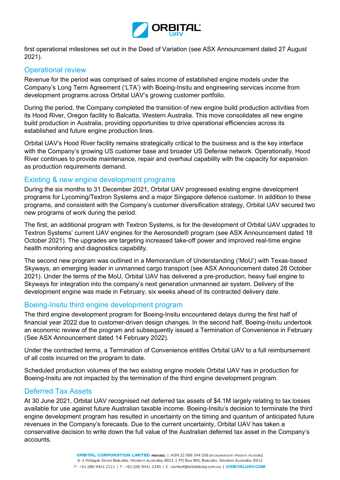

first operational milestones set out in the Deed of Variation (see ASX Announcement dated 27 August 2021).

#### Operational review

Revenue for the period was comprised of sales income of established engine models under the Company's Long Term Agreement ('LTA') with Boeing-Insitu and engineering services income from development programs across Orbital UAV's growing customer portfolio.

During the period, the Company completed the transition of new engine build production activities from its Hood River, Oregon facility to Balcatta, Western Australia. This move consolidates all new engine build production in Australia, providing opportunities to drive operational efficiencies across its established and future engine production lines.

Orbital UAV's Hood River facility remains strategically critical to the business and is the key interface with the Company's growing US customer base and broader US Defense network. Operationally, Hood River continues to provide maintenance, repair and overhaul capability with the capacity for expansion as production requirements demand.

#### Existing & new engine development programs

During the six months to 31 December 2021, Orbital UAV progressed existing engine development programs for Lycoming/Textron Systems and a major Singapore defence customer. In addition to these programs, and consistent with the Company's customer diversification strategy, Orbital UAV secured two new programs of work during the period.

The first, an additional program with Textron Systems, is for the development of Orbital UAV upgrades to Textron Systems' current UAV engines for the Aerosonde® program (see ASX Announcement dated 18 October 2021). The upgrades are targeting increased take-off power and improved real-time engine health monitoring and diagnostics capability.

The second new program was outlined in a Memorandum of Understanding ('MoU') with Texas-based Skyways, an emerging leader in unmanned cargo transport (see ASX Announcement dated 28 October 2021). Under the terms of the MoU, Orbital UAV has delivered a pre-production, heavy fuel engine to Skyways for integration into the company's next generation unmanned air system. Delivery of the development engine was made in February, six weeks ahead of its contracted delivery date.

#### Boeing-Insitu third engine development program

The third engine development program for Boeing-Insitu encountered delays during the first half of financial year 2022 due to customer-driven design changes. In the second half, Boeing-Insitu undertook an economic review of the program and subsequently issued a Termination of Convenience in February (See ASX Announcement dated 14 February 2022).

Under the contracted terms, a Termination of Convenience entitles Orbital UAV to a full reimbursement of all costs incurred on the program to date.

Scheduled production volumes of the two existing engine models Orbital UAV has in production for Boeing-Insitu are not impacted by the termination of the third engine development program.

#### Deferred Tax Assets

At 30 June 2021, Orbital UAV recognised net deferred tax assets of \$4.1M largely relating to tax losses available for use against future Australian taxable income. Boeing-Insitu's decision to terminate the third engine development program has resulted in uncertainty on the timing and quantum of anticipated future revenues in the Company's forecasts. Due to the current uncertainty, Orbital UAV has taken a conservative decision to write down the full value of the Australian deferred tax asset in the Company's accounts.